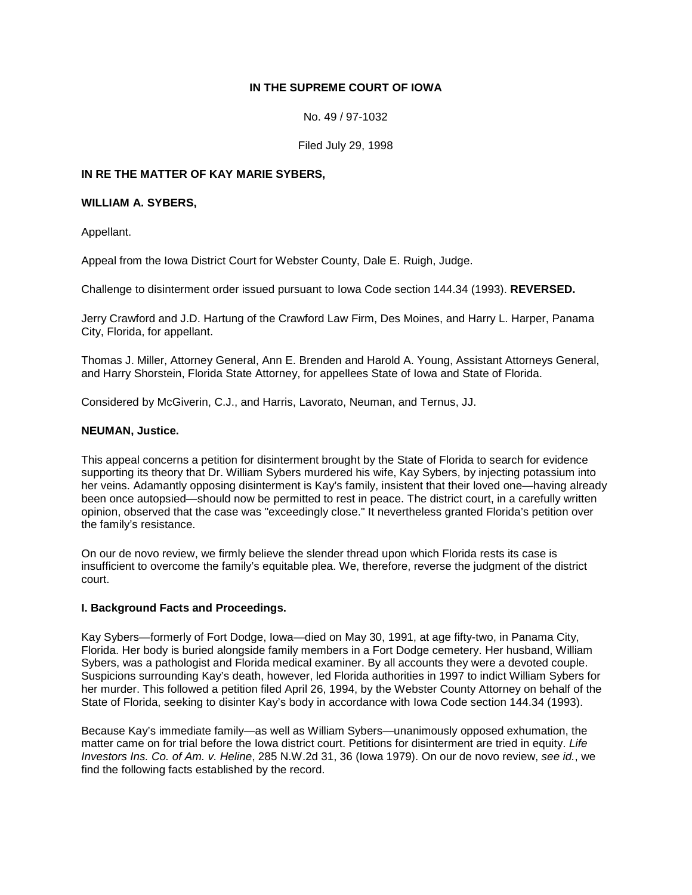## **IN THE SUPREME COURT OF IOWA**

No. 49 / 97-1032

Filed July 29, 1998

## **IN RE THE MATTER OF KAY MARIE SYBERS,**

#### **WILLIAM A. SYBERS,**

Appellant.

Appeal from the Iowa District Court for Webster County, Dale E. Ruigh, Judge.

Challenge to disinterment order issued pursuant to Iowa Code section 144.34 (1993). **REVERSED.**

Jerry Crawford and J.D. Hartung of the Crawford Law Firm, Des Moines, and Harry L. Harper, Panama City, Florida, for appellant.

Thomas J. Miller, Attorney General, Ann E. Brenden and Harold A. Young, Assistant Attorneys General, and Harry Shorstein, Florida State Attorney, for appellees State of Iowa and State of Florida.

Considered by McGiverin, C.J., and Harris, Lavorato, Neuman, and Ternus, JJ.

#### **NEUMAN, Justice.**

This appeal concerns a petition for disinterment brought by the State of Florida to search for evidence supporting its theory that Dr. William Sybers murdered his wife, Kay Sybers, by injecting potassium into her veins. Adamantly opposing disinterment is Kay's family, insistent that their loved one—having already been once autopsied—should now be permitted to rest in peace. The district court, in a carefully written opinion, observed that the case was "exceedingly close." It nevertheless granted Florida's petition over the family's resistance.

On our de novo review, we firmly believe the slender thread upon which Florida rests its case is insufficient to overcome the family's equitable plea. We, therefore, reverse the judgment of the district court.

## **I. Background Facts and Proceedings.**

Kay Sybers—formerly of Fort Dodge, Iowa—died on May 30, 1991, at age fifty-two, in Panama City, Florida. Her body is buried alongside family members in a Fort Dodge cemetery. Her husband, William Sybers, was a pathologist and Florida medical examiner. By all accounts they were a devoted couple. Suspicions surrounding Kay's death, however, led Florida authorities in 1997 to indict William Sybers for her murder. This followed a petition filed April 26, 1994, by the Webster County Attorney on behalf of the State of Florida, seeking to disinter Kay's body in accordance with Iowa Code section 144.34 (1993).

Because Kay's immediate family—as well as William Sybers—unanimously opposed exhumation, the matter came on for trial before the Iowa district court. Petitions for disinterment are tried in equity. *Life Investors Ins. Co. of Am. v. Heline*, 285 N.W.2d 31, 36 (Iowa 1979). On our de novo review, *see id.*, we find the following facts established by the record.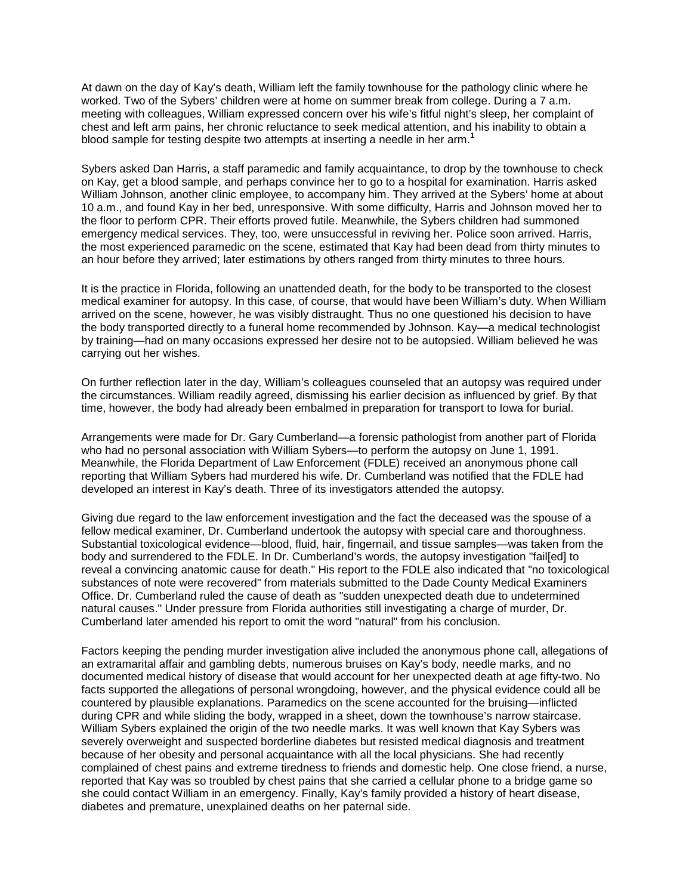At dawn on the day of Kay's death, William left the family townhouse for the pathology clinic where he worked. Two of the Sybers' children were at home on summer break from college. During a 7 a.m. meeting with colleagues, William expressed concern over his wife's fitful night's sleep, her complaint of chest and left arm pains, her chronic reluctance to seek medical attention, and his inability to obtain a blood sample for testing despite two attempts at inserting a needle in her arm.**<sup>1</sup>**

Sybers asked Dan Harris, a staff paramedic and family acquaintance, to drop by the townhouse to check on Kay, get a blood sample, and perhaps convince her to go to a hospital for examination. Harris asked William Johnson, another clinic employee, to accompany him. They arrived at the Sybers' home at about 10 a.m., and found Kay in her bed, unresponsive. With some difficulty, Harris and Johnson moved her to the floor to perform CPR. Their efforts proved futile. Meanwhile, the Sybers children had summoned emergency medical services. They, too, were unsuccessful in reviving her. Police soon arrived. Harris, the most experienced paramedic on the scene, estimated that Kay had been dead from thirty minutes to an hour before they arrived; later estimations by others ranged from thirty minutes to three hours.

It is the practice in Florida, following an unattended death, for the body to be transported to the closest medical examiner for autopsy. In this case, of course, that would have been William's duty. When William arrived on the scene, however, he was visibly distraught. Thus no one questioned his decision to have the body transported directly to a funeral home recommended by Johnson. Kay—a medical technologist by training—had on many occasions expressed her desire not to be autopsied. William believed he was carrying out her wishes.

On further reflection later in the day, William's colleagues counseled that an autopsy was required under the circumstances. William readily agreed, dismissing his earlier decision as influenced by grief. By that time, however, the body had already been embalmed in preparation for transport to Iowa for burial.

Arrangements were made for Dr. Gary Cumberland—a forensic pathologist from another part of Florida who had no personal association with William Sybers—to perform the autopsy on June 1, 1991. Meanwhile, the Florida Department of Law Enforcement (FDLE) received an anonymous phone call reporting that William Sybers had murdered his wife. Dr. Cumberland was notified that the FDLE had developed an interest in Kay's death. Three of its investigators attended the autopsy.

Giving due regard to the law enforcement investigation and the fact the deceased was the spouse of a fellow medical examiner, Dr. Cumberland undertook the autopsy with special care and thoroughness. Substantial toxicological evidence—blood, fluid, hair, fingernail, and tissue samples—was taken from the body and surrendered to the FDLE. In Dr. Cumberland's words, the autopsy investigation "fail[ed] to reveal a convincing anatomic cause for death." His report to the FDLE also indicated that "no toxicological substances of note were recovered" from materials submitted to the Dade County Medical Examiners Office. Dr. Cumberland ruled the cause of death as "sudden unexpected death due to undetermined natural causes." Under pressure from Florida authorities still investigating a charge of murder, Dr. Cumberland later amended his report to omit the word "natural" from his conclusion.

Factors keeping the pending murder investigation alive included the anonymous phone call, allegations of an extramarital affair and gambling debts, numerous bruises on Kay's body, needle marks, and no documented medical history of disease that would account for her unexpected death at age fifty-two. No facts supported the allegations of personal wrongdoing, however, and the physical evidence could all be countered by plausible explanations. Paramedics on the scene accounted for the bruising—inflicted during CPR and while sliding the body, wrapped in a sheet, down the townhouse's narrow staircase. William Sybers explained the origin of the two needle marks. It was well known that Kay Sybers was severely overweight and suspected borderline diabetes but resisted medical diagnosis and treatment because of her obesity and personal acquaintance with all the local physicians. She had recently complained of chest pains and extreme tiredness to friends and domestic help. One close friend, a nurse, reported that Kay was so troubled by chest pains that she carried a cellular phone to a bridge game so she could contact William in an emergency. Finally, Kay's family provided a history of heart disease, diabetes and premature, unexplained deaths on her paternal side.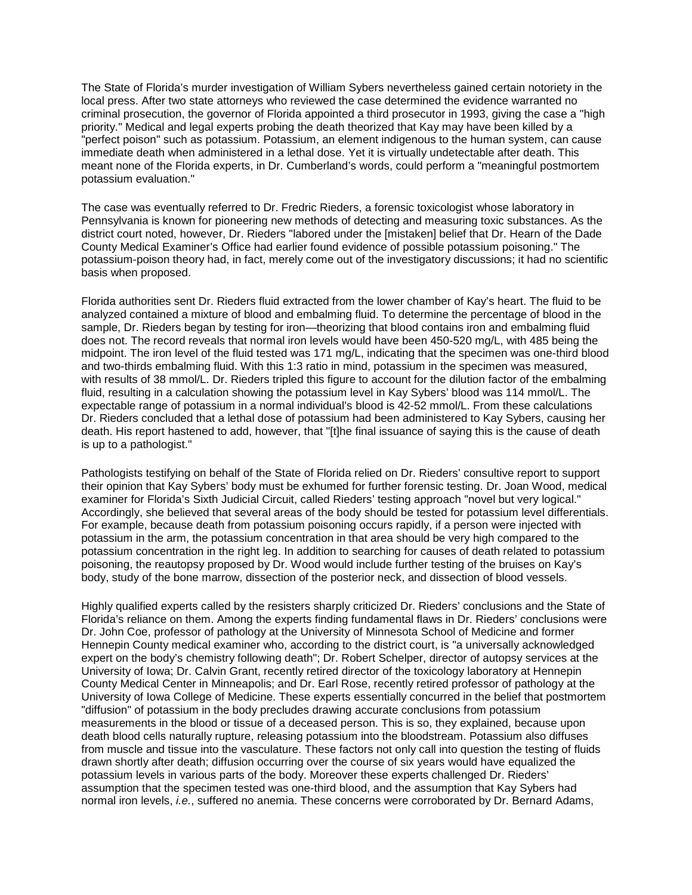The State of Florida's murder investigation of William Sybers nevertheless gained certain notoriety in the local press. After two state attorneys who reviewed the case determined the evidence warranted no criminal prosecution, the governor of Florida appointed a third prosecutor in 1993, giving the case a "high priority." Medical and legal experts probing the death theorized that Kay may have been killed by a "perfect poison" such as potassium. Potassium, an element indigenous to the human system, can cause immediate death when administered in a lethal dose. Yet it is virtually undetectable after death. This meant none of the Florida experts, in Dr. Cumberland's words, could perform a "meaningful postmortem potassium evaluation."

The case was eventually referred to Dr. Fredric Rieders, a forensic toxicologist whose laboratory in Pennsylvania is known for pioneering new methods of detecting and measuring toxic substances. As the district court noted, however, Dr. Rieders "labored under the [mistaken] belief that Dr. Hearn of the Dade County Medical Examiner's Office had earlier found evidence of possible potassium poisoning." The potassium-poison theory had, in fact, merely come out of the investigatory discussions; it had no scientific basis when proposed.

Florida authorities sent Dr. Rieders fluid extracted from the lower chamber of Kay's heart. The fluid to be analyzed contained a mixture of blood and embalming fluid. To determine the percentage of blood in the sample, Dr. Rieders began by testing for iron—theorizing that blood contains iron and embalming fluid does not. The record reveals that normal iron levels would have been 450-520 mg/L, with 485 being the midpoint. The iron level of the fluid tested was 171 mg/L, indicating that the specimen was one-third blood and two-thirds embalming fluid. With this 1:3 ratio in mind, potassium in the specimen was measured, with results of 38 mmol/L. Dr. Rieders tripled this figure to account for the dilution factor of the embalming fluid, resulting in a calculation showing the potassium level in Kay Sybers' blood was 114 mmol/L. The expectable range of potassium in a normal individual's blood is 42-52 mmol/L. From these calculations Dr. Rieders concluded that a lethal dose of potassium had been administered to Kay Sybers, causing her death. His report hastened to add, however, that "[t]he final issuance of saying this is the cause of death is up to a pathologist."

Pathologists testifying on behalf of the State of Florida relied on Dr. Rieders' consultive report to support their opinion that Kay Sybers' body must be exhumed for further forensic testing. Dr. Joan Wood, medical examiner for Florida's Sixth Judicial Circuit, called Rieders' testing approach "novel but very logical." Accordingly, she believed that several areas of the body should be tested for potassium level differentials. For example, because death from potassium poisoning occurs rapidly, if a person were injected with potassium in the arm, the potassium concentration in that area should be very high compared to the potassium concentration in the right leg. In addition to searching for causes of death related to potassium poisoning, the reautopsy proposed by Dr. Wood would include further testing of the bruises on Kay's body, study of the bone marrow, dissection of the posterior neck, and dissection of blood vessels.

Highly qualified experts called by the resisters sharply criticized Dr. Rieders' conclusions and the State of Florida's reliance on them. Among the experts finding fundamental flaws in Dr. Rieders' conclusions were Dr. John Coe, professor of pathology at the University of Minnesota School of Medicine and former Hennepin County medical examiner who, according to the district court, is "a universally acknowledged expert on the body's chemistry following death"; Dr. Robert Schelper, director of autopsy services at the University of Iowa; Dr. Calvin Grant, recently retired director of the toxicology laboratory at Hennepin County Medical Center in Minneapolis; and Dr. Earl Rose, recently retired professor of pathology at the University of Iowa College of Medicine. These experts essentially concurred in the belief that postmortem "diffusion" of potassium in the body precludes drawing accurate conclusions from potassium measurements in the blood or tissue of a deceased person. This is so, they explained, because upon death blood cells naturally rupture, releasing potassium into the bloodstream. Potassium also diffuses from muscle and tissue into the vasculature. These factors not only call into question the testing of fluids drawn shortly after death; diffusion occurring over the course of six years would have equalized the potassium levels in various parts of the body. Moreover these experts challenged Dr. Rieders' assumption that the specimen tested was one-third blood, and the assumption that Kay Sybers had normal iron levels, *i.e.*, suffered no anemia. These concerns were corroborated by Dr. Bernard Adams,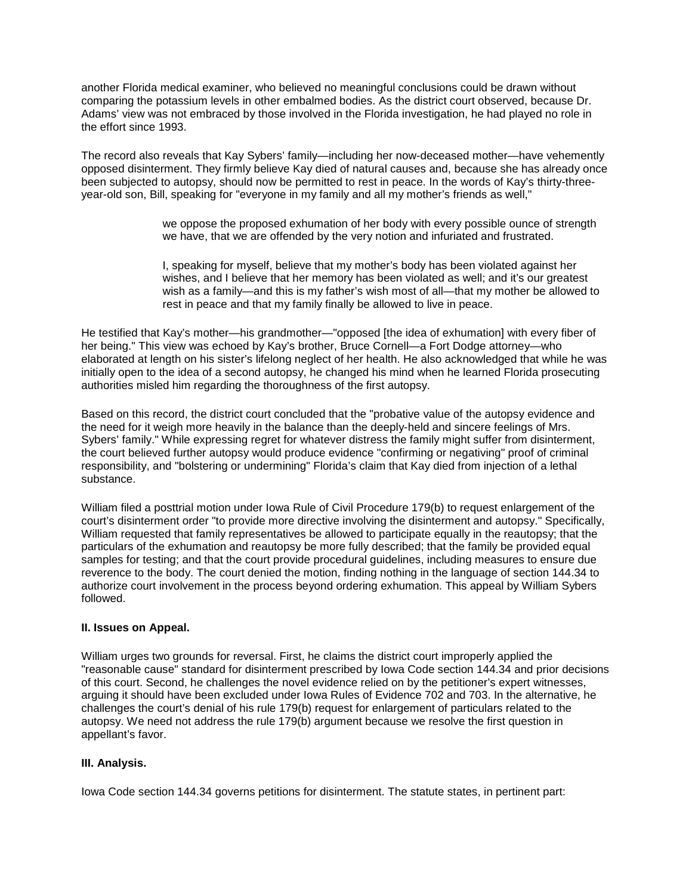another Florida medical examiner, who believed no meaningful conclusions could be drawn without comparing the potassium levels in other embalmed bodies. As the district court observed, because Dr. Adams' view was not embraced by those involved in the Florida investigation, he had played no role in the effort since 1993.

The record also reveals that Kay Sybers' family—including her now-deceased mother—have vehemently opposed disinterment. They firmly believe Kay died of natural causes and, because she has already once been subjected to autopsy, should now be permitted to rest in peace. In the words of Kay's thirty-threeyear-old son, Bill, speaking for "everyone in my family and all my mother's friends as well,"

> we oppose the proposed exhumation of her body with every possible ounce of strength we have, that we are offended by the very notion and infuriated and frustrated.

> I, speaking for myself, believe that my mother's body has been violated against her wishes, and I believe that her memory has been violated as well; and it's our greatest wish as a family—and this is my father's wish most of all—that my mother be allowed to rest in peace and that my family finally be allowed to live in peace.

He testified that Kay's mother—his grandmother—"opposed [the idea of exhumation] with every fiber of her being." This view was echoed by Kay's brother, Bruce Cornell—a Fort Dodge attorney—who elaborated at length on his sister's lifelong neglect of her health. He also acknowledged that while he was initially open to the idea of a second autopsy, he changed his mind when he learned Florida prosecuting authorities misled him regarding the thoroughness of the first autopsy.

Based on this record, the district court concluded that the "probative value of the autopsy evidence and the need for it weigh more heavily in the balance than the deeply-held and sincere feelings of Mrs. Sybers' family." While expressing regret for whatever distress the family might suffer from disinterment, the court believed further autopsy would produce evidence "confirming or negativing" proof of criminal responsibility, and "bolstering or undermining" Florida's claim that Kay died from injection of a lethal substance.

William filed a posttrial motion under Iowa Rule of Civil Procedure 179(b) to request enlargement of the court's disinterment order "to provide more directive involving the disinterment and autopsy." Specifically, William requested that family representatives be allowed to participate equally in the reautopsy; that the particulars of the exhumation and reautopsy be more fully described; that the family be provided equal samples for testing; and that the court provide procedural guidelines, including measures to ensure due reverence to the body. The court denied the motion, finding nothing in the language of section 144.34 to authorize court involvement in the process beyond ordering exhumation. This appeal by William Sybers followed.

## **II. Issues on Appeal.**

William urges two grounds for reversal. First, he claims the district court improperly applied the "reasonable cause" standard for disinterment prescribed by Iowa Code section 144.34 and prior decisions of this court. Second, he challenges the novel evidence relied on by the petitioner's expert witnesses, arguing it should have been excluded under Iowa Rules of Evidence 702 and 703. In the alternative, he challenges the court's denial of his rule 179(b) request for enlargement of particulars related to the autopsy. We need not address the rule 179(b) argument because we resolve the first question in appellant's favor.

# **III. Analysis.**

Iowa Code section 144.34 governs petitions for disinterment. The statute states, in pertinent part: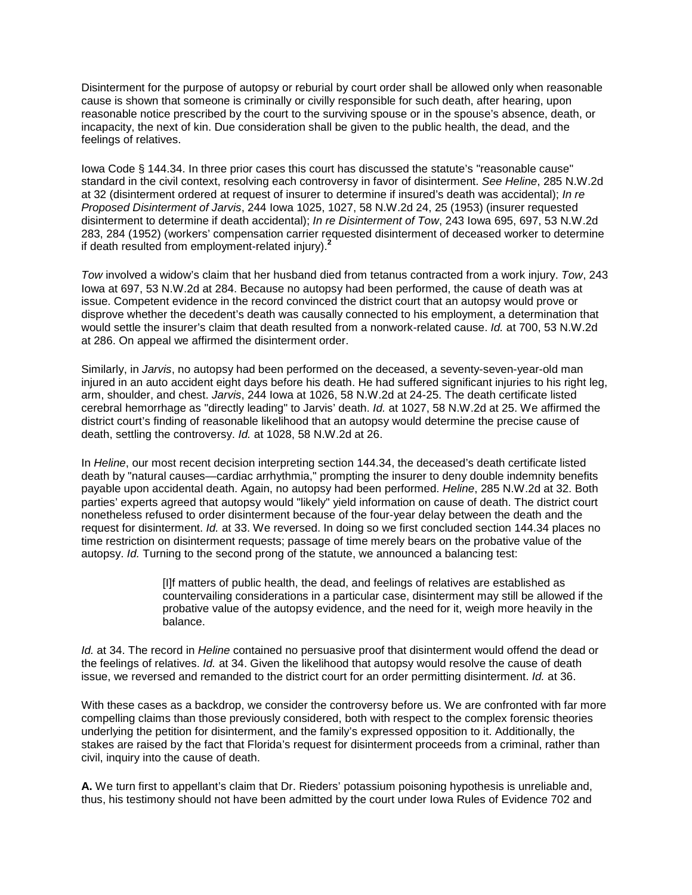Disinterment for the purpose of autopsy or reburial by court order shall be allowed only when reasonable cause is shown that someone is criminally or civilly responsible for such death, after hearing, upon reasonable notice prescribed by the court to the surviving spouse or in the spouse's absence, death, or incapacity, the next of kin. Due consideration shall be given to the public health, the dead, and the feelings of relatives.

Iowa Code § 144.34. In three prior cases this court has discussed the statute's "reasonable cause" standard in the civil context, resolving each controversy in favor of disinterment. *See Heline*, 285 N.W.2d at 32 (disinterment ordered at request of insurer to determine if insured's death was accidental); *In re Proposed Disinterment of Jarvis*, 244 Iowa 1025, 1027, 58 N.W.2d 24, 25 (1953) (insurer requested disinterment to determine if death accidental); *In re Disinterment of Tow*, 243 Iowa 695, 697, 53 N.W.2d 283, 284 (1952) (workers' compensation carrier requested disinterment of deceased worker to determine if death resulted from employment-related injury).**<sup>2</sup>**

*Tow* involved a widow's claim that her husband died from tetanus contracted from a work injury. *Tow*, 243 Iowa at 697, 53 N.W.2d at 284. Because no autopsy had been performed, the cause of death was at issue. Competent evidence in the record convinced the district court that an autopsy would prove or disprove whether the decedent's death was causally connected to his employment, a determination that would settle the insurer's claim that death resulted from a nonwork-related cause. *Id.* at 700, 53 N.W.2d at 286. On appeal we affirmed the disinterment order.

Similarly, in *Jarvis*, no autopsy had been performed on the deceased, a seventy-seven-year-old man injured in an auto accident eight days before his death. He had suffered significant injuries to his right leg, arm, shoulder, and chest. *Jarvis*, 244 Iowa at 1026, 58 N.W.2d at 24-25. The death certificate listed cerebral hemorrhage as "directly leading" to Jarvis' death. *Id.* at 1027, 58 N.W.2d at 25. We affirmed the district court's finding of reasonable likelihood that an autopsy would determine the precise cause of death, settling the controversy. *Id.* at 1028, 58 N.W.2d at 26.

In *Heline*, our most recent decision interpreting section 144.34, the deceased's death certificate listed death by "natural causes—cardiac arrhythmia," prompting the insurer to deny double indemnity benefits payable upon accidental death. Again, no autopsy had been performed. *Heline*, 285 N.W.2d at 32. Both parties' experts agreed that autopsy would "likely" yield information on cause of death. The district court nonetheless refused to order disinterment because of the four-year delay between the death and the request for disinterment. *Id.* at 33. We reversed. In doing so we first concluded section 144.34 places no time restriction on disinterment requests; passage of time merely bears on the probative value of the autopsy. *Id.* Turning to the second prong of the statute, we announced a balancing test:

> [I]f matters of public health, the dead, and feelings of relatives are established as countervailing considerations in a particular case, disinterment may still be allowed if the probative value of the autopsy evidence, and the need for it, weigh more heavily in the balance.

*Id.* at 34. The record in *Heline* contained no persuasive proof that disinterment would offend the dead or the feelings of relatives. *Id.* at 34. Given the likelihood that autopsy would resolve the cause of death issue, we reversed and remanded to the district court for an order permitting disinterment. *Id.* at 36.

With these cases as a backdrop, we consider the controversy before us. We are confronted with far more compelling claims than those previously considered, both with respect to the complex forensic theories underlying the petition for disinterment, and the family's expressed opposition to it. Additionally, the stakes are raised by the fact that Florida's request for disinterment proceeds from a criminal, rather than civil, inquiry into the cause of death.

**A.** We turn first to appellant's claim that Dr. Rieders' potassium poisoning hypothesis is unreliable and, thus, his testimony should not have been admitted by the court under Iowa Rules of Evidence 702 and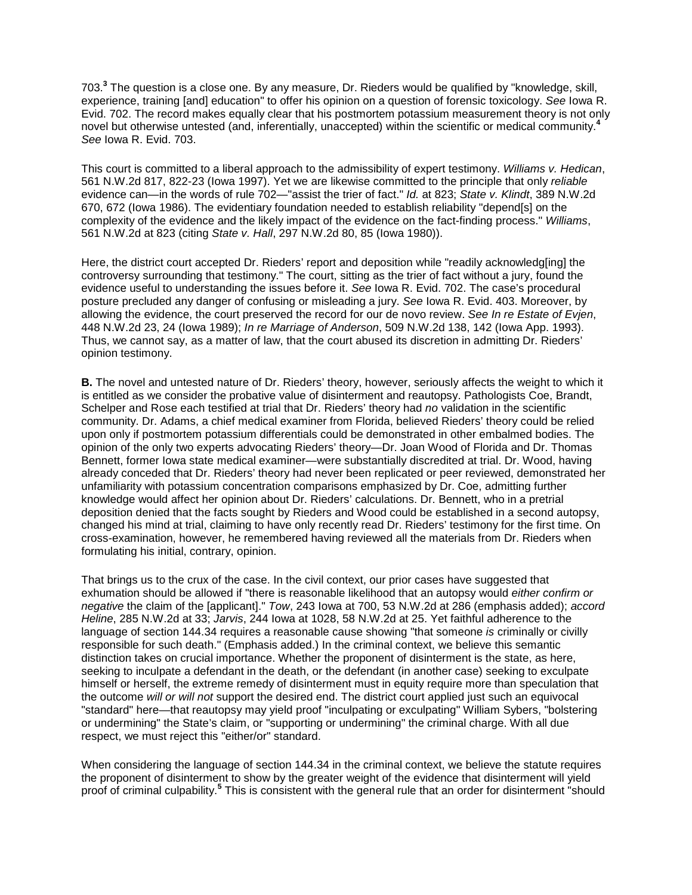703.**<sup>3</sup>** The question is a close one. By any measure, Dr. Rieders would be qualified by "knowledge, skill, experience, training [and] education" to offer his opinion on a question of forensic toxicology. *See* Iowa R. Evid. 702. The record makes equally clear that his postmortem potassium measurement theory is not only novel but otherwise untested (and, inferentially, unaccepted) within the scientific or medical community.**<sup>4</sup>** *See* Iowa R. Evid. 703.

This court is committed to a liberal approach to the admissibility of expert testimony. *Williams v. Hedican*, 561 N.W.2d 817, 822-23 (Iowa 1997). Yet we are likewise committed to the principle that only *reliable* evidence can—in the words of rule 702—"assist the trier of fact." *Id.* at 823; *State v. Klindt*, 389 N.W.2d 670, 672 (Iowa 1986). The evidentiary foundation needed to establish reliability "depend[s] on the complexity of the evidence and the likely impact of the evidence on the fact-finding process." *Williams*, 561 N.W.2d at 823 (citing *State v. Hall*, 297 N.W.2d 80, 85 (Iowa 1980)).

Here, the district court accepted Dr. Rieders' report and deposition while "readily acknowledg[ing] the controversy surrounding that testimony." The court, sitting as the trier of fact without a jury, found the evidence useful to understanding the issues before it. *See* Iowa R. Evid. 702. The case's procedural posture precluded any danger of confusing or misleading a jury. *See* Iowa R. Evid. 403. Moreover, by allowing the evidence, the court preserved the record for our de novo review. *See In re Estate of Evjen*, 448 N.W.2d 23, 24 (Iowa 1989); *In re Marriage of Anderson*, 509 N.W.2d 138, 142 (Iowa App. 1993). Thus, we cannot say, as a matter of law, that the court abused its discretion in admitting Dr. Rieders' opinion testimony.

**B.** The novel and untested nature of Dr. Rieders' theory, however, seriously affects the weight to which it is entitled as we consider the probative value of disinterment and reautopsy. Pathologists Coe, Brandt, Schelper and Rose each testified at trial that Dr. Rieders' theory had *no* validation in the scientific community. Dr. Adams, a chief medical examiner from Florida, believed Rieders' theory could be relied upon only if postmortem potassium differentials could be demonstrated in other embalmed bodies. The opinion of the only two experts advocating Rieders' theory—Dr. Joan Wood of Florida and Dr. Thomas Bennett, former Iowa state medical examiner—were substantially discredited at trial. Dr. Wood, having already conceded that Dr. Rieders' theory had never been replicated or peer reviewed, demonstrated her unfamiliarity with potassium concentration comparisons emphasized by Dr. Coe, admitting further knowledge would affect her opinion about Dr. Rieders' calculations. Dr. Bennett, who in a pretrial deposition denied that the facts sought by Rieders and Wood could be established in a second autopsy, changed his mind at trial, claiming to have only recently read Dr. Rieders' testimony for the first time. On cross-examination, however, he remembered having reviewed all the materials from Dr. Rieders when formulating his initial, contrary, opinion.

That brings us to the crux of the case. In the civil context, our prior cases have suggested that exhumation should be allowed if "there is reasonable likelihood that an autopsy would *either confirm or negative* the claim of the [applicant]." *Tow*, 243 Iowa at 700, 53 N.W.2d at 286 (emphasis added); *accord Heline*, 285 N.W.2d at 33; *Jarvis*, 244 Iowa at 1028, 58 N.W.2d at 25. Yet faithful adherence to the language of section 144.34 requires a reasonable cause showing "that someone *is* criminally or civilly responsible for such death." (Emphasis added.) In the criminal context, we believe this semantic distinction takes on crucial importance. Whether the proponent of disinterment is the state, as here, seeking to inculpate a defendant in the death, or the defendant (in another case) seeking to exculpate himself or herself, the extreme remedy of disinterment must in equity require more than speculation that the outcome *will or will not* support the desired end. The district court applied just such an equivocal "standard" here—that reautopsy may yield proof "inculpating or exculpating" William Sybers, "bolstering or undermining" the State's claim, or "supporting or undermining" the criminal charge. With all due respect, we must reject this "either/or" standard.

When considering the language of section 144.34 in the criminal context, we believe the statute requires the proponent of disinterment to show by the greater weight of the evidence that disinterment will yield proof of criminal culpability.**<sup>5</sup>** This is consistent with the general rule that an order for disinterment "should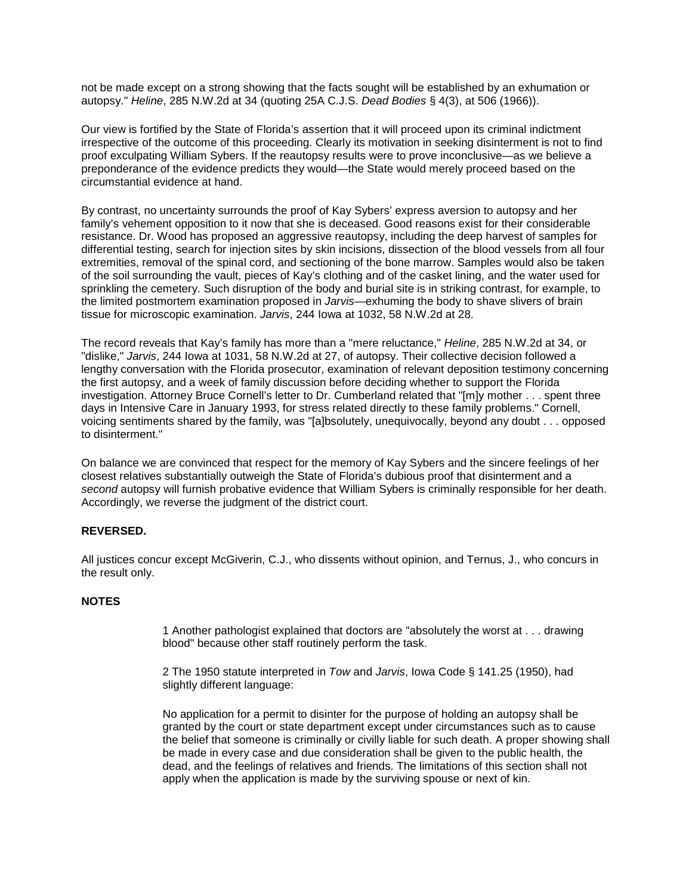not be made except on a strong showing that the facts sought will be established by an exhumation or autopsy." *Heline*, 285 N.W.2d at 34 (quoting 25A C.J.S. *Dead Bodies* § 4(3), at 506 (1966)).

Our view is fortified by the State of Florida's assertion that it will proceed upon its criminal indictment irrespective of the outcome of this proceeding. Clearly its motivation in seeking disinterment is not to find proof exculpating William Sybers. If the reautopsy results were to prove inconclusive—as we believe a preponderance of the evidence predicts they would—the State would merely proceed based on the circumstantial evidence at hand.

By contrast, no uncertainty surrounds the proof of Kay Sybers' express aversion to autopsy and her family's vehement opposition to it now that she is deceased. Good reasons exist for their considerable resistance. Dr. Wood has proposed an aggressive reautopsy, including the deep harvest of samples for differential testing, search for injection sites by skin incisions, dissection of the blood vessels from all four extremities, removal of the spinal cord, and sectioning of the bone marrow. Samples would also be taken of the soil surrounding the vault, pieces of Kay's clothing and of the casket lining, and the water used for sprinkling the cemetery. Such disruption of the body and burial site is in striking contrast, for example, to the limited postmortem examination proposed in *Jarvis*—exhuming the body to shave slivers of brain tissue for microscopic examination. *Jarvis*, 244 Iowa at 1032, 58 N.W.2d at 28.

The record reveals that Kay's family has more than a "mere reluctance," *Heline*, 285 N.W.2d at 34, or "dislike," *Jarvis*, 244 Iowa at 1031, 58 N.W.2d at 27, of autopsy. Their collective decision followed a lengthy conversation with the Florida prosecutor, examination of relevant deposition testimony concerning the first autopsy, and a week of family discussion before deciding whether to support the Florida investigation. Attorney Bruce Cornell's letter to Dr. Cumberland related that "[m]y mother . . . spent three days in Intensive Care in January 1993, for stress related directly to these family problems." Cornell, voicing sentiments shared by the family, was "[a]bsolutely, unequivocally, beyond any doubt . . . opposed to disinterment."

On balance we are convinced that respect for the memory of Kay Sybers and the sincere feelings of her closest relatives substantially outweigh the State of Florida's dubious proof that disinterment and a *second* autopsy will furnish probative evidence that William Sybers is criminally responsible for her death. Accordingly, we reverse the judgment of the district court.

## **REVERSED.**

All justices concur except McGiverin, C.J., who dissents without opinion, and Ternus, J., who concurs in the result only.

## **NOTES**

1 Another pathologist explained that doctors are "absolutely the worst at . . . drawing blood" because other staff routinely perform the task.

2 The 1950 statute interpreted in *Tow* and *Jarvis*, Iowa Code § 141.25 (1950), had slightly different language:

No application for a permit to disinter for the purpose of holding an autopsy shall be granted by the court or state department except under circumstances such as to cause the belief that someone is criminally or civilly liable for such death. A proper showing shall be made in every case and due consideration shall be given to the public health, the dead, and the feelings of relatives and friends. The limitations of this section shall not apply when the application is made by the surviving spouse or next of kin.